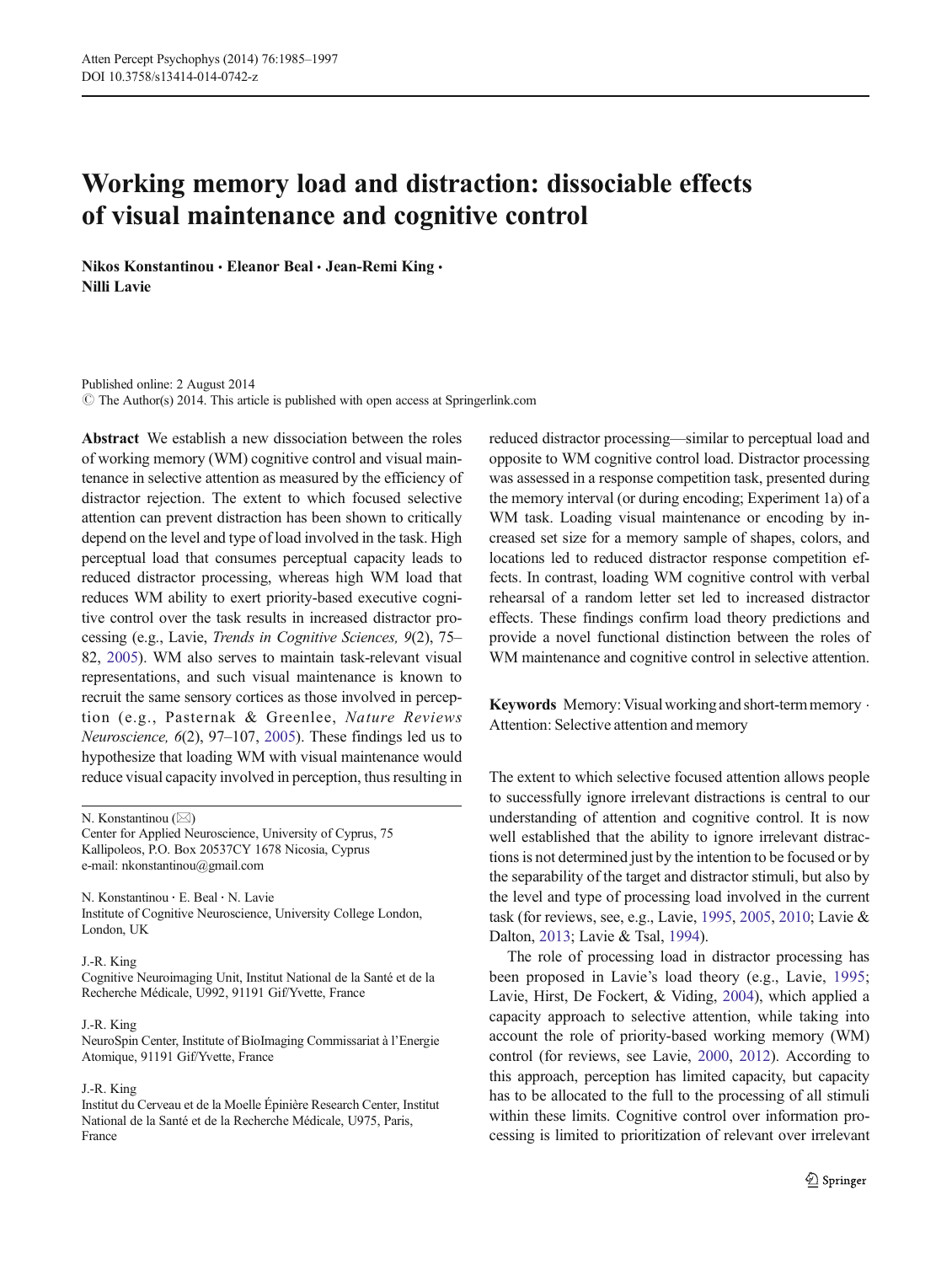# Working memory load and distraction: dissociable effects of visual maintenance and cognitive control

Nikos Konstantinou · Eleanor Beal · Jean-Remi King · Nilli Lavie

Published online: 2 August 2014  $\odot$  The Author(s) 2014. This article is published with open access at Springerlink.com

Abstract We establish a new dissociation between the roles of working memory (WM) cognitive control and visual maintenance in selective attention as measured by the efficiency of distractor rejection. The extent to which focused selective attention can prevent distraction has been shown to critically depend on the level and type of load involved in the task. High perceptual load that consumes perceptual capacity leads to reduced distractor processing, whereas high WM load that reduces WM ability to exert priority-based executive cognitive control over the task results in increased distractor processing (e.g., Lavie, Trends in Cognitive Sciences, 9(2), 75– 82, [2005](#page-11-0)). WM also serves to maintain task-relevant visual representations, and such visual maintenance is known to recruit the same sensory cortices as those involved in perception (e.g., Pasternak & Greenlee, Nature Reviews Neuroscience, 6(2), 97–107, [2005](#page-11-0)). These findings led us to hypothesize that loading WM with visual maintenance would reduce visual capacity involved in perception, thus resulting in

N. Konstantinou ( $\boxtimes$ )

Center for Applied Neuroscience, University of Cyprus, 75 Kallipoleos, P.O. Box 20537CY 1678 Nicosia, Cyprus e-mail: nkonstantinou@gmail.com

N. Konstantinou : E. Beal : N. Lavie Institute of Cognitive Neuroscience, University College London, London, UK

### J.<R. King

Cognitive Neuroimaging Unit, Institut National de la Santé et de la Recherche Médicale, U992, 91191 Gif/Yvette, France

#### J.<R. King

NeuroSpin Center, Institute of BioImaging Commissariat à l'Energie Atomique, 91191 Gif/Yvette, France

#### J.<R. King

Institut du Cerveau et de la Moelle Épinière Research Center, Institut National de la Santé et de la Recherche Médicale, U975, Paris, France

reduced distractor processing—similar to perceptual load and opposite to WM cognitive control load. Distractor processing was assessed in a response competition task, presented during the memory interval (or during encoding; Experiment 1a) of a WM task. Loading visual maintenance or encoding by increased set size for a memory sample of shapes, colors, and locations led to reduced distractor response competition effects. In contrast, loading WM cognitive control with verbal rehearsal of a random letter set led to increased distractor effects. These findings confirm load theory predictions and provide a novel functional distinction between the roles of WM maintenance and cognitive control in selective attention.

Keywords Memory: Visual working and short-term memory . Attention: Selective attention and memory

The extent to which selective focused attention allows people to successfully ignore irrelevant distractions is central to our understanding of attention and cognitive control. It is now well established that the ability to ignore irrelevant distractions is not determined just by the intention to be focused or by the separability of the target and distractor stimuli, but also by the level and type of processing load involved in the current task (for reviews, see, e.g., Lavie, [1995](#page-11-0), [2005,](#page-11-0) [2010](#page-11-0); Lavie & Dalton, [2013](#page-11-0); Lavie & Tsal, [1994\)](#page-11-0).

The role of processing load in distractor processing has been proposed in Lavie's load theory (e.g., Lavie, [1995;](#page-11-0) Lavie, Hirst, De Fockert, & Viding, [2004\)](#page-11-0), which applied a capacity approach to selective attention, while taking into account the role of priority-based working memory (WM) control (for reviews, see Lavie, [2000](#page-11-0), [2012](#page-11-0)). According to this approach, perception has limited capacity, but capacity has to be allocated to the full to the processing of all stimuli within these limits. Cognitive control over information processing is limited to prioritization of relevant over irrelevant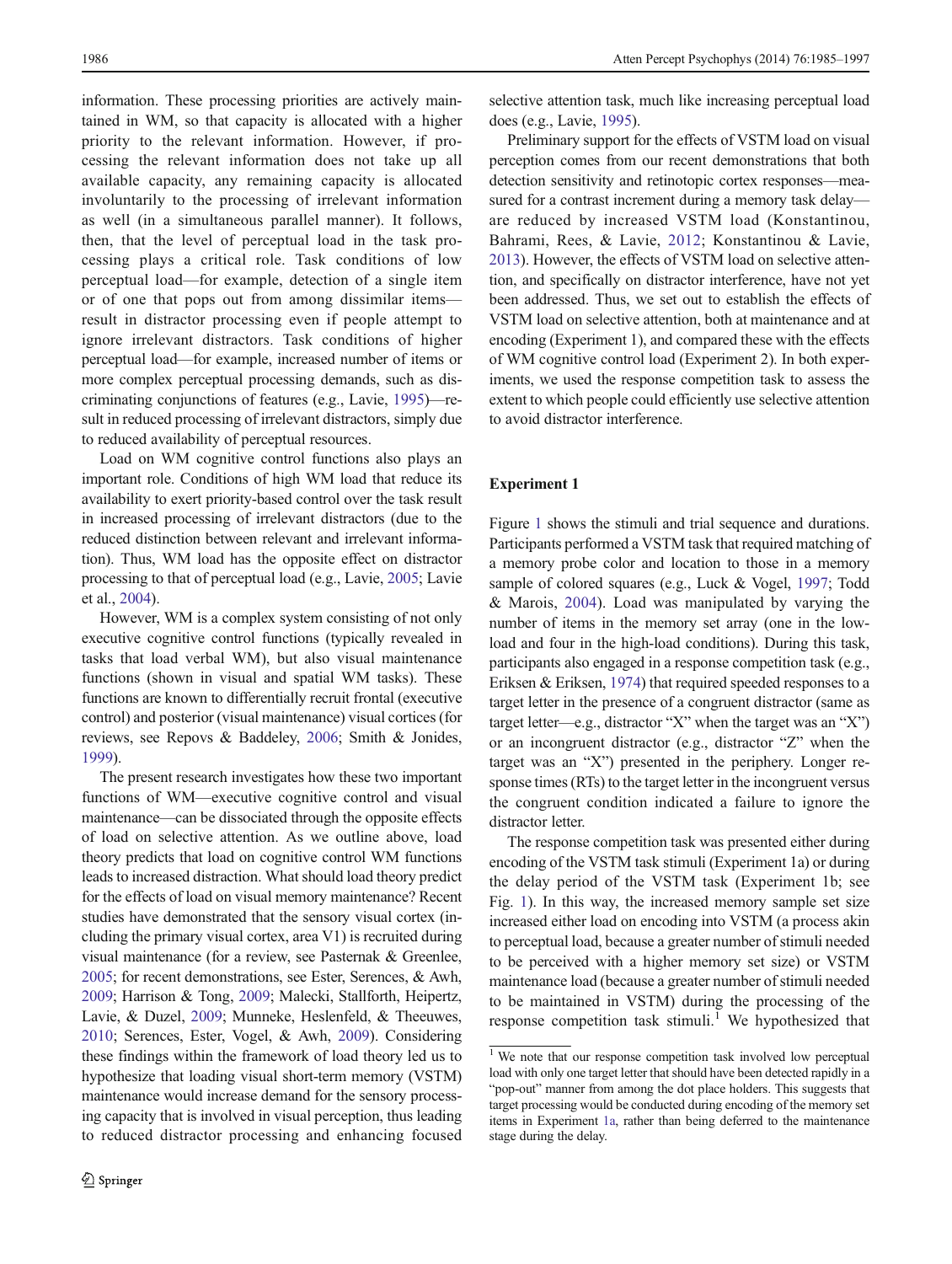<span id="page-1-0"></span>information. These processing priorities are actively maintained in WM, so that capacity is allocated with a higher priority to the relevant information. However, if processing the relevant information does not take up all available capacity, any remaining capacity is allocated involuntarily to the processing of irrelevant information as well (in a simultaneous parallel manner). It follows, then, that the level of perceptual load in the task processing plays a critical role. Task conditions of low perceptual load—for example, detection of a single item or of one that pops out from among dissimilar items result in distractor processing even if people attempt to ignore irrelevant distractors. Task conditions of higher perceptual load—for example, increased number of items or more complex perceptual processing demands, such as discriminating conjunctions of features (e.g., Lavie, [1995](#page-11-0))—result in reduced processing of irrelevant distractors, simply due to reduced availability of perceptual resources.

Load on WM cognitive control functions also plays an important role. Conditions of high WM load that reduce its availability to exert priority-based control over the task result in increased processing of irrelevant distractors (due to the reduced distinction between relevant and irrelevant information). Thus, WM load has the opposite effect on distractor processing to that of perceptual load (e.g., Lavie, [2005](#page-11-0); Lavie et al., [2004\)](#page-11-0).

However, WM is a complex system consisting of not only executive cognitive control functions (typically revealed in tasks that load verbal WM), but also visual maintenance functions (shown in visual and spatial WM tasks). These functions are known to differentially recruit frontal (executive control) and posterior (visual maintenance) visual cortices (for reviews, see Repovs & Baddeley, [2006;](#page-11-0) Smith & Jonides, [1999\)](#page-12-0).

The present research investigates how these two important functions of WM—executive cognitive control and visual maintenance—can be dissociated through the opposite effects of load on selective attention. As we outline above, load theory predicts that load on cognitive control WM functions leads to increased distraction. What should load theory predict for the effects of load on visual memory maintenance? Recent studies have demonstrated that the sensory visual cortex (including the primary visual cortex, area V1) is recruited during visual maintenance (for a review, see Pasternak & Greenlee, [2005;](#page-11-0) for recent demonstrations, see Ester, Serences, & Awh, [2009;](#page-11-0) Harrison & Tong, [2009](#page-11-0); Malecki, Stallforth, Heipertz, Lavie, & Duzel, [2009](#page-11-0); Munneke, Heslenfeld, & Theeuwes, [2010;](#page-11-0) Serences, Ester, Vogel, & Awh, [2009](#page-12-0)). Considering these findings within the framework of load theory led us to hypothesize that loading visual short-term memory (VSTM) maintenance would increase demand for the sensory processing capacity that is involved in visual perception, thus leading to reduced distractor processing and enhancing focused

selective attention task, much like increasing perceptual load does (e.g., Lavie, [1995](#page-11-0)).

Preliminary support for the effects of VSTM load on visual perception comes from our recent demonstrations that both detection sensitivity and retinotopic cortex responses—measured for a contrast increment during a memory task delay are reduced by increased VSTM load (Konstantinou, Bahrami, Rees, & Lavie, [2012;](#page-11-0) Konstantinou & Lavie, [2013\)](#page-11-0). However, the effects of VSTM load on selective attention, and specifically on distractor interference, have not yet been addressed. Thus, we set out to establish the effects of VSTM load on selective attention, both at maintenance and at encoding (Experiment 1), and compared these with the effects of WM cognitive control load (Experiment 2). In both experiments, we used the response competition task to assess the extent to which people could efficiently use selective attention to avoid distractor interference.

#### Experiment 1

Figure [1](#page-2-0) shows the stimuli and trial sequence and durations. Participants performed a VSTM task that required matching of a memory probe color and location to those in a memory sample of colored squares (e.g., Luck & Vogel, [1997](#page-11-0); Todd & Marois, [2004\)](#page-12-0). Load was manipulated by varying the number of items in the memory set array (one in the lowload and four in the high-load conditions). During this task, participants also engaged in a response competition task (e.g., Eriksen & Eriksen, [1974](#page-11-0)) that required speeded responses to a target letter in the presence of a congruent distractor (same as target letter—e.g., distractor "X" when the target was an "X") or an incongruent distractor (e.g., distractor "Z" when the target was an "X") presented in the periphery. Longer response times (RTs) to the target letter in the incongruent versus the congruent condition indicated a failure to ignore the distractor letter.

The response competition task was presented either during encoding of the VSTM task stimuli (Experiment 1a) or during the delay period of the VSTM task (Experiment 1b; see Fig. [1](#page-2-0)). In this way, the increased memory sample set size increased either load on encoding into VSTM (a process akin to perceptual load, because a greater number of stimuli needed to be perceived with a higher memory set size) or VSTM maintenance load (because a greater number of stimuli needed to be maintained in VSTM) during the processing of the response competition task stimuli.<sup>1</sup> We hypothesized that

 $\overline{1}$  We note that our response competition task involved low perceptual load with only one target letter that should have been detected rapidly in a "pop-out" manner from among the dot place holders. This suggests that target processing would be conducted during encoding of the memory set items in Experiment [1a](#page-2-0), rather than being deferred to the maintenance stage during the delay.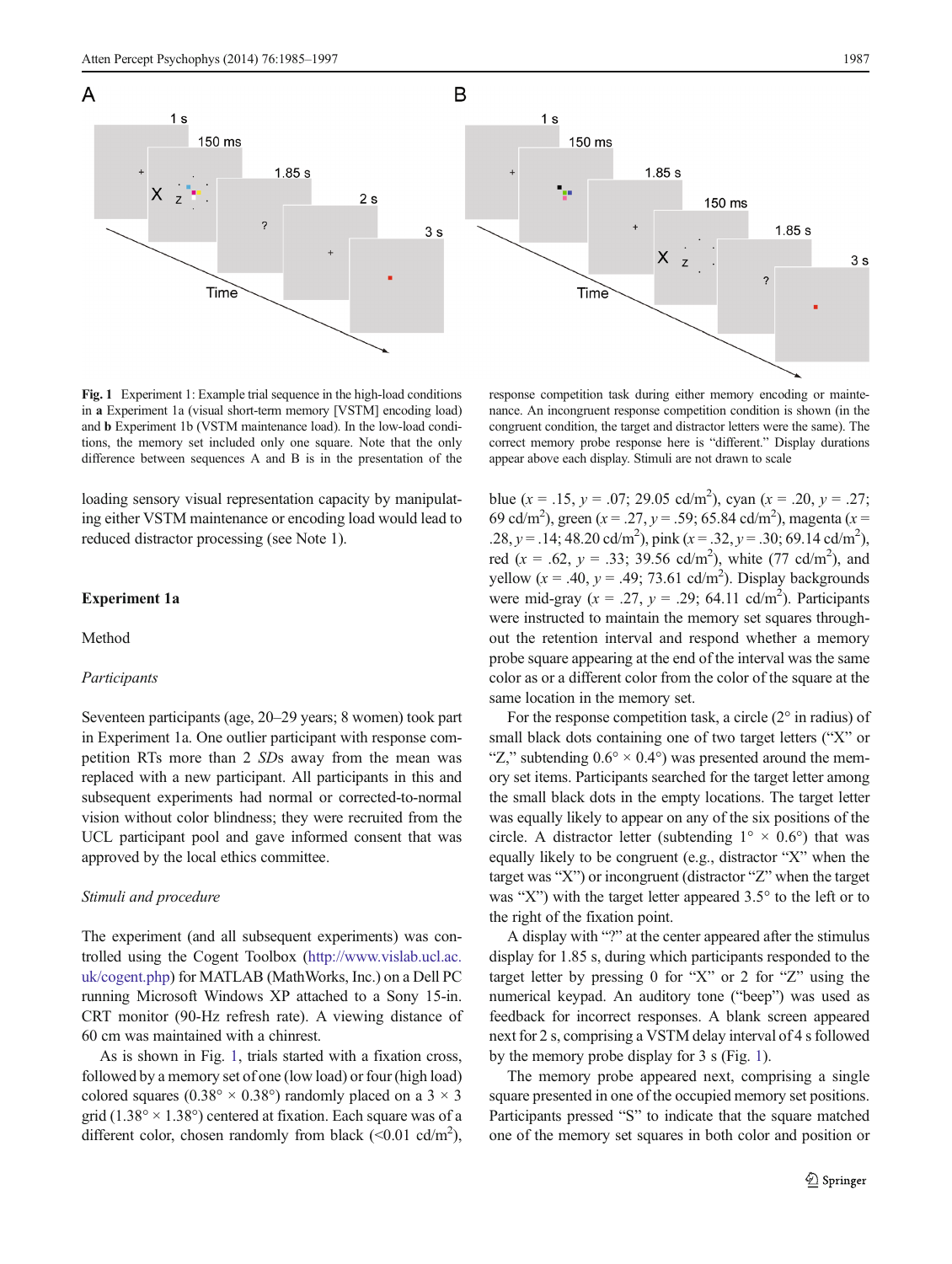<span id="page-2-0"></span>

Fig. 1 Experiment 1: Example trial sequence in the high-load conditions in a Experiment 1a (visual short-term memory [VSTM] encoding load) and b Experiment 1b (VSTM maintenance load). In the low-load conditions, the memory set included only one square. Note that the only difference between sequences A and B is in the presentation of the

loading sensory visual representation capacity by manipulating either VSTM maintenance or encoding load would lead to reduced distractor processing (see Note 1).

# Experiment 1a

Method

# Participants

Seventeen participants (age, 20–29 years; 8 women) took part in Experiment 1a. One outlier participant with response competition RTs more than 2 SDs away from the mean was replaced with a new participant. All participants in this and subsequent experiments had normal or corrected-to-normal vision without color blindness; they were recruited from the UCL participant pool and gave informed consent that was approved by the local ethics committee.

# Stimuli and procedure

The experiment (and all subsequent experiments) was controlled using the Cogent Toolbox ([http://www.vislab.ucl.ac.](http://www.vislab.ucl.ac.uk/cogent.php) [uk/cogent.php](http://www.vislab.ucl.ac.uk/cogent.php)) for MATLAB (MathWorks, Inc.) on a Dell PC running Microsoft Windows XP attached to a Sony 15-in. CRT monitor (90-Hz refresh rate). A viewing distance of 60 cm was maintained with a chinrest.

As is shown in Fig. 1, trials started with a fixation cross, followed by a memory set of one (low load) or four (high load) colored squares ( $0.38^{\circ} \times 0.38^{\circ}$ ) randomly placed on a  $3 \times 3$ grid (1.38 $\degree \times$  1.38 $\degree$ ) centered at fixation. Each square was of a different color, chosen randomly from black  $(<0.01$  cd/m<sup>2</sup>),

response competition task during either memory encoding or maintenance. An incongruent response competition condition is shown (in the congruent condition, the target and distractor letters were the same). The correct memory probe response here is "different." Display durations appear above each display. Stimuli are not drawn to scale

blue (x = .15, y = .07; 29.05 cd/m<sup>2</sup>), cyan (x = .20, y = .27; 69 cd/m<sup>2</sup>), green (x = .27, y = .59; 65.84 cd/m<sup>2</sup>), magenta (x = .28,  $y = .14$ ; 48.20 cd/m<sup>2</sup>), pink ( $x = .32$ ,  $y = .30$ ; 69.14 cd/m<sup>2</sup>), red ( $x = .62$ ,  $y = .33$ ; 39.56 cd/m<sup>2</sup>), white (77 cd/m<sup>2</sup>), and yellow ( $x = .40$ ,  $y = .49$ ; 73.61 cd/m<sup>2</sup>). Display backgrounds were mid-gray ( $x = .27$ ,  $y = .29$ ; 64.11 cd/m<sup>2</sup>). Participants were instructed to maintain the memory set squares throughout the retention interval and respond whether a memory probe square appearing at the end of the interval was the same color as or a different color from the color of the square at the same location in the memory set.

For the response competition task, a circle  $(2^{\circ}$  in radius) of small black dots containing one of two target letters ("X" or "Z," subtending  $0.6^{\circ} \times 0.4^{\circ}$  was presented around the memory set items. Participants searched for the target letter among the small black dots in the empty locations. The target letter was equally likely to appear on any of the six positions of the circle. A distractor letter (subtending  $1^\circ \times 0.6^\circ$ ) that was equally likely to be congruent (e.g., distractor "X" when the target was "X") or incongruent (distractor "Z" when the target was "X") with the target letter appeared 3.5° to the left or to the right of the fixation point.

A display with "?" at the center appeared after the stimulus display for 1.85 s, during which participants responded to the target letter by pressing 0 for "X" or 2 for "Z" using the numerical keypad. An auditory tone ("beep") was used as feedback for incorrect responses. A blank screen appeared next for 2 s, comprising a VSTM delay interval of 4 s followed by the memory probe display for 3 s (Fig. 1).

The memory probe appeared next, comprising a single square presented in one of the occupied memory set positions. Participants pressed "S" to indicate that the square matched one of the memory set squares in both color and position or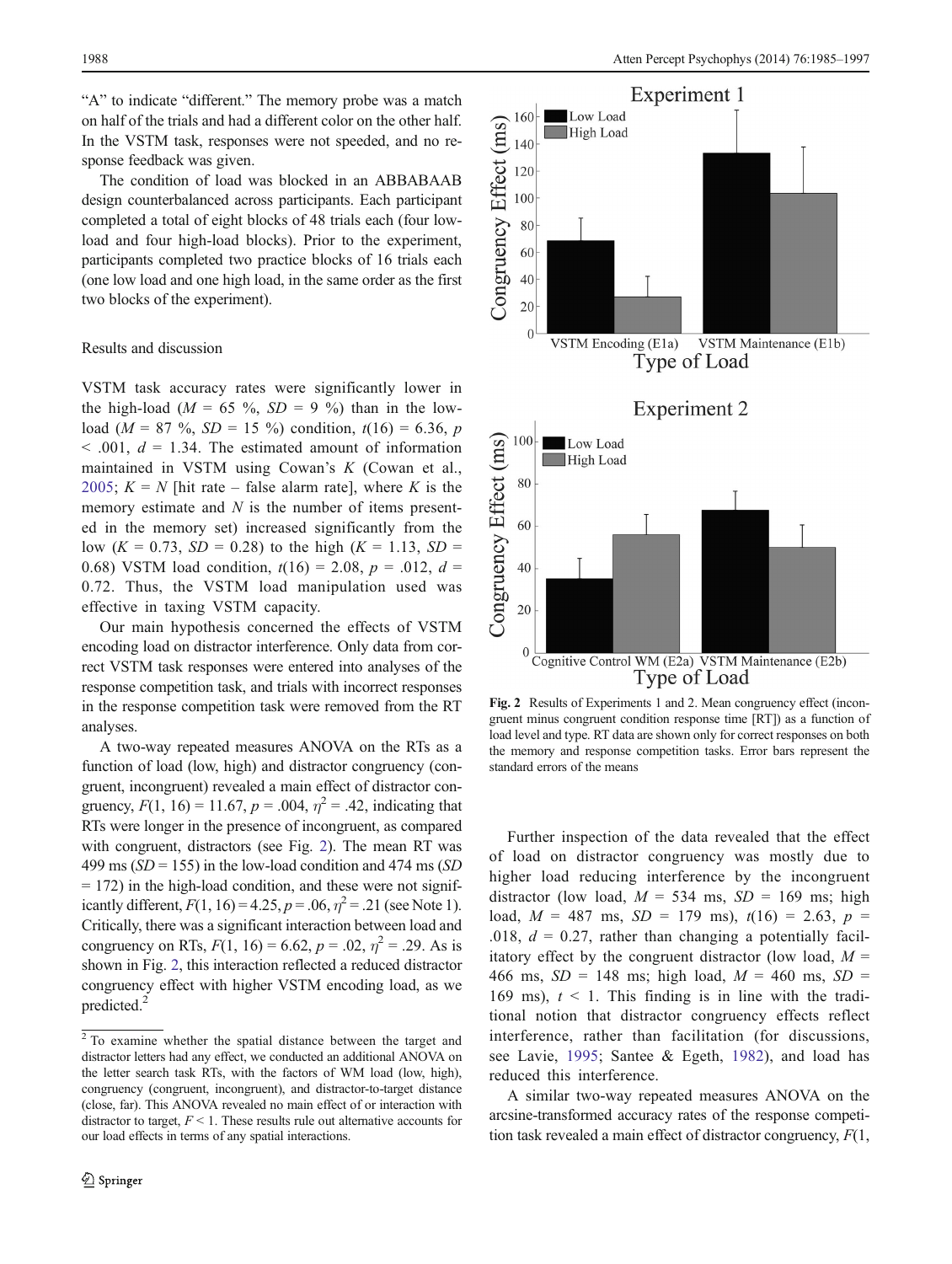<span id="page-3-0"></span>"A" to indicate "different." The memory probe was a match on half of the trials and had a different color on the other half. In the VSTM task, responses were not speeded, and no response feedback was given.

The condition of load was blocked in an ABBABAAB design counterbalanced across participants. Each participant completed a total of eight blocks of 48 trials each (four lowload and four high-load blocks). Prior to the experiment, participants completed two practice blocks of 16 trials each (one low load and one high load, in the same order as the first two blocks of the experiment).

#### Results and discussion

VSTM task accuracy rates were significantly lower in the high-load ( $M = 65$  %,  $SD = 9$  %) than in the lowload ( $M = 87$  %,  $SD = 15$  %) condition,  $t(16) = 6.36$ , p  $\leq$  .001,  $d = 1.34$ . The estimated amount of information maintained in VSTM using Cowan's K (Cowan et al., [2005](#page-11-0);  $K = N$  [hit rate – false alarm rate], where K is the memory estimate and N is the number of items presented in the memory set) increased significantly from the low  $(K = 0.73, SD = 0.28)$  to the high  $(K = 1.13, SD = 1.13)$ 0.68) VSTM load condition,  $t(16) = 2.08$ ,  $p = .012$ ,  $d =$ 0.72. Thus, the VSTM load manipulation used was effective in taxing VSTM capacity.

Our main hypothesis concerned the effects of VSTM encoding load on distractor interference. Only data from correct VSTM task responses were entered into analyses of the response competition task, and trials with incorrect responses in the response competition task were removed from the RT analyses.

A two-way repeated measures ANOVA on the RTs as a function of load (low, high) and distractor congruency (congruent, incongruent) revealed a main effect of distractor congruency,  $F(1, 16) = 11.67$ ,  $p = .004$ ,  $\eta^2 = .42$ , indicating that RTs were longer in the presence of incongruent, as compared with congruent, distractors (see Fig. 2). The mean RT was 499 ms  $(SD = 155)$  in the low-load condition and 474 ms  $(SD)$  $= 172$ ) in the high-load condition, and these were not significantly different,  $F(1, 16) = 4.25$ ,  $p = .06$ ,  $\eta^2 = .21$  (see Note 1). Critically, there was a significant interaction between load and congruency on RTs,  $F(1, 16) = 6.62$ ,  $p = .02$ ,  $\eta^2 = .29$ . As is shown in Fig. 2, this interaction reflected a reduced distractor congruency effect with higher VSTM encoding load, as we predicted.<sup>2</sup>



Fig. 2 Results of Experiments 1 and 2. Mean congruency effect (incongruent minus congruent condition response time [RT]) as a function of load level and type. RT data are shown only for correct responses on both the memory and response competition tasks. Error bars represent the standard errors of the means

Further inspection of the data revealed that the effect of load on distractor congruency was mostly due to higher load reducing interference by the incongruent distractor (low load,  $M = 534$  ms,  $SD = 169$  ms; high load,  $M = 487$  ms,  $SD = 179$  ms),  $t(16) = 2.63$ ,  $p =$ .018,  $d = 0.27$ , rather than changing a potentially facilitatory effect by the congruent distractor (low load,  $M =$ 466 ms,  $SD = 148$  ms; high load,  $M = 460$  ms,  $SD =$ 169 ms),  $t < 1$ . This finding is in line with the traditional notion that distractor congruency effects reflect interference, rather than facilitation (for discussions, see Lavie, [1995;](#page-11-0) Santee & Egeth, [1982](#page-12-0)), and load has reduced this interference.

A similar two-way repeated measures ANOVA on the arcsine-transformed accuracy rates of the response competition task revealed a main effect of distractor congruency,  $F(1, 1)$ 

<sup>2</sup> To examine whether the spatial distance between the target and distractor letters had any effect, we conducted an additional ANOVA on the letter search task RTs, with the factors of WM load (low, high), congruency (congruent, incongruent), and distractor-to-target distance (close, far). This ANOVA revealed no main effect of or interaction with distractor to target,  $F \leq 1$ . These results rule out alternative accounts for our load effects in terms of any spatial interactions.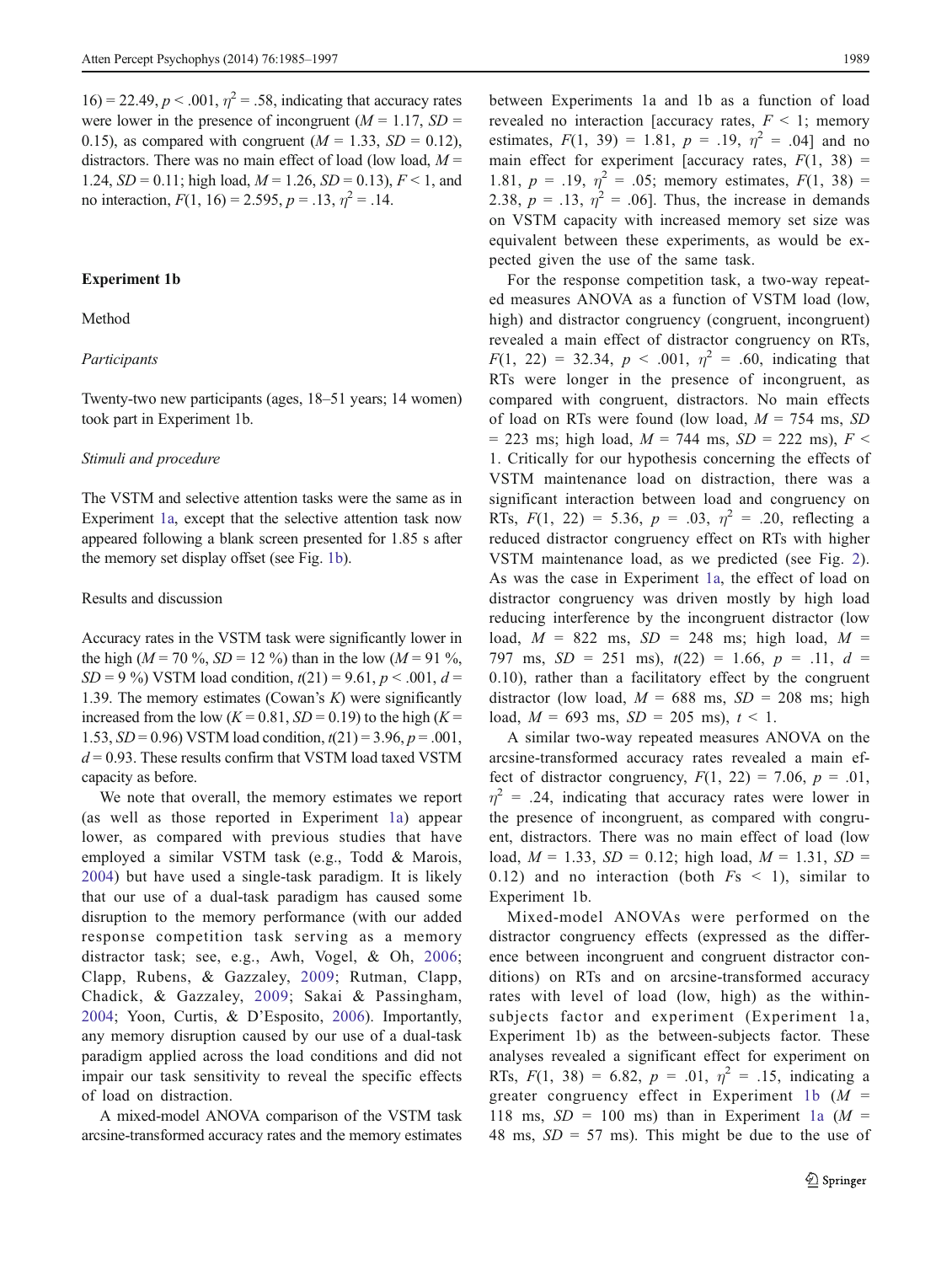<span id="page-4-0"></span> $16 = 22.49, p < .001, n^2 = .58$ , indicating that accuracy rates were lower in the presence of incongruent  $(M = 1.17, SD =$ 0.15), as compared with congruent  $(M = 1.33, SD = 0.12)$ , distractors. There was no main effect of load (low load,  $M =$ 1.24,  $SD = 0.11$ ; high load,  $M = 1.26$ ,  $SD = 0.13$ ),  $F < 1$ , and no interaction,  $F(1, 16) = 2.595$ ,  $p = .13$ ,  $\eta^2 = .14$ .

## Experiment 1b

Method

# Participants

Twenty-two new participants (ages, 18–51 years; 14 women) took part in Experiment 1b.

#### Stimuli and procedure

The VSTM and selective attention tasks were the same as in Experiment [1a](#page-2-0), except that the selective attention task now appeared following a blank screen presented for 1.85 s after the memory set display offset (see Fig. [1b\)](#page-2-0).

## Results and discussion

Accuracy rates in the VSTM task were significantly lower in the high ( $M = 70\%$ ,  $SD = 12\%$ ) than in the low ( $M = 91\%$ ,  $SD = 9\%$ ) VSTM load condition,  $t(21) = 9.61$ ,  $p < .001$ ,  $d =$ 1.39. The memory estimates (Cowan's  $K$ ) were significantly increased from the low ( $K = 0.81$ ,  $SD = 0.19$ ) to the high ( $K =$ 1.53,  $SD = 0.96$ ) VSTM load condition,  $t(21) = 3.96$ ,  $p = .001$ ,  $d = 0.93$ . These results confirm that VSTM load taxed VSTM capacity as before.

We note that overall, the memory estimates we report (as well as those reported in Experiment [1a\)](#page-2-0) appear lower, as compared with previous studies that have employed a similar VSTM task (e.g., Todd & Marois, [2004](#page-12-0)) but have used a single-task paradigm. It is likely that our use of a dual-task paradigm has caused some disruption to the memory performance (with our added response competition task serving as a memory distractor task; see, e.g., Awh, Vogel, & Oh, [2006](#page-10-0); Clapp, Rubens, & Gazzaley, [2009;](#page-11-0) Rutman, Clapp, Chadick, & Gazzaley, [2009;](#page-12-0) Sakai & Passingham, [2004](#page-12-0); Yoon, Curtis, & D'Esposito, [2006](#page-12-0)). Importantly, any memory disruption caused by our use of a dual-task paradigm applied across the load conditions and did not impair our task sensitivity to reveal the specific effects of load on distraction.

A mixed-model ANOVA comparison of the VSTM task arcsine-transformed accuracy rates and the memory estimates

between Experiments 1a and 1b as a function of load revealed no interaction [accuracy rates,  $F < 1$ ; memory estimates,  $F(1, 39) = 1.81$ ,  $p = .19$ ,  $\eta^2 = .04$  and no main effect for experiment [accuracy rates,  $F(1, 38) =$ 1.81,  $p = .19$ ,  $\eta^2 = .05$ ; memory estimates,  $F(1, 38) =$ 2.38,  $p = .13$ ,  $\eta^2 = .06$ . Thus, the increase in demands on VSTM capacity with increased memory set size was equivalent between these experiments, as would be expected given the use of the same task.

For the response competition task, a two-way repeated measures ANOVA as a function of VSTM load (low, high) and distractor congruency (congruent, incongruent) revealed a main effect of distractor congruency on RTs,  $F(1, 22) = 32.34, p < .001, \eta^2 = .60$ , indicating that RTs were longer in the presence of incongruent, as compared with congruent, distractors. No main effects of load on RTs were found (low load,  $M = 754$  ms, SD = 223 ms; high load,  $M = 744$  ms,  $SD = 222$  ms),  $F <$ 1. Critically for our hypothesis concerning the effects of VSTM maintenance load on distraction, there was a significant interaction between load and congruency on RTs,  $F(1, 22) = 5.36$ ,  $p = .03$ ,  $\eta^2 = .20$ , reflecting a reduced distractor congruency effect on RTs with higher VSTM maintenance load, as we predicted (see Fig. [2](#page-3-0)). As was the case in Experiment [1a,](#page-2-0) the effect of load on distractor congruency was driven mostly by high load reducing interference by the incongruent distractor (low load,  $M = 822$  ms,  $SD = 248$  ms; high load,  $M =$ 797 ms,  $SD = 251$  ms),  $t(22) = 1.66$ ,  $p = .11$ ,  $d =$ 0.10), rather than a facilitatory effect by the congruent distractor (low load,  $M = 688$  ms,  $SD = 208$  ms; high load,  $M = 693$  ms,  $SD = 205$  ms),  $t < 1$ .

A similar two-way repeated measures ANOVA on the arcsine-transformed accuracy rates revealed a main effect of distractor congruency,  $F(1, 22) = 7.06$ ,  $p = .01$ ,  $\eta^2$  = .24, indicating that accuracy rates were lower in the presence of incongruent, as compared with congruent, distractors. There was no main effect of load (low load,  $M = 1.33$ ,  $SD = 0.12$ ; high load,  $M = 1.31$ ,  $SD =$ 0.12) and no interaction (both  $Fs < 1$ ), similar to Experiment 1b.

Mixed-model ANOVAs were performed on the distractor congruency effects (expressed as the difference between incongruent and congruent distractor conditions) on RTs and on arcsine-transformed accuracy rates with level of load (low, high) as the withinsubjects factor and experiment (Experiment 1a, Experiment 1b) as the between-subjects factor. These analyses revealed a significant effect for experiment on RTs,  $F(1, 38) = 6.82$ ,  $p = .01$ ,  $\eta^2 = .15$ , indicating a greater congruency effect in Experiment 1b  $(M =$ 118 ms,  $SD = 100$  ms) than in Experiment [1a](#page-2-0) ( $M =$ 48 ms,  $SD = 57$  ms). This might be due to the use of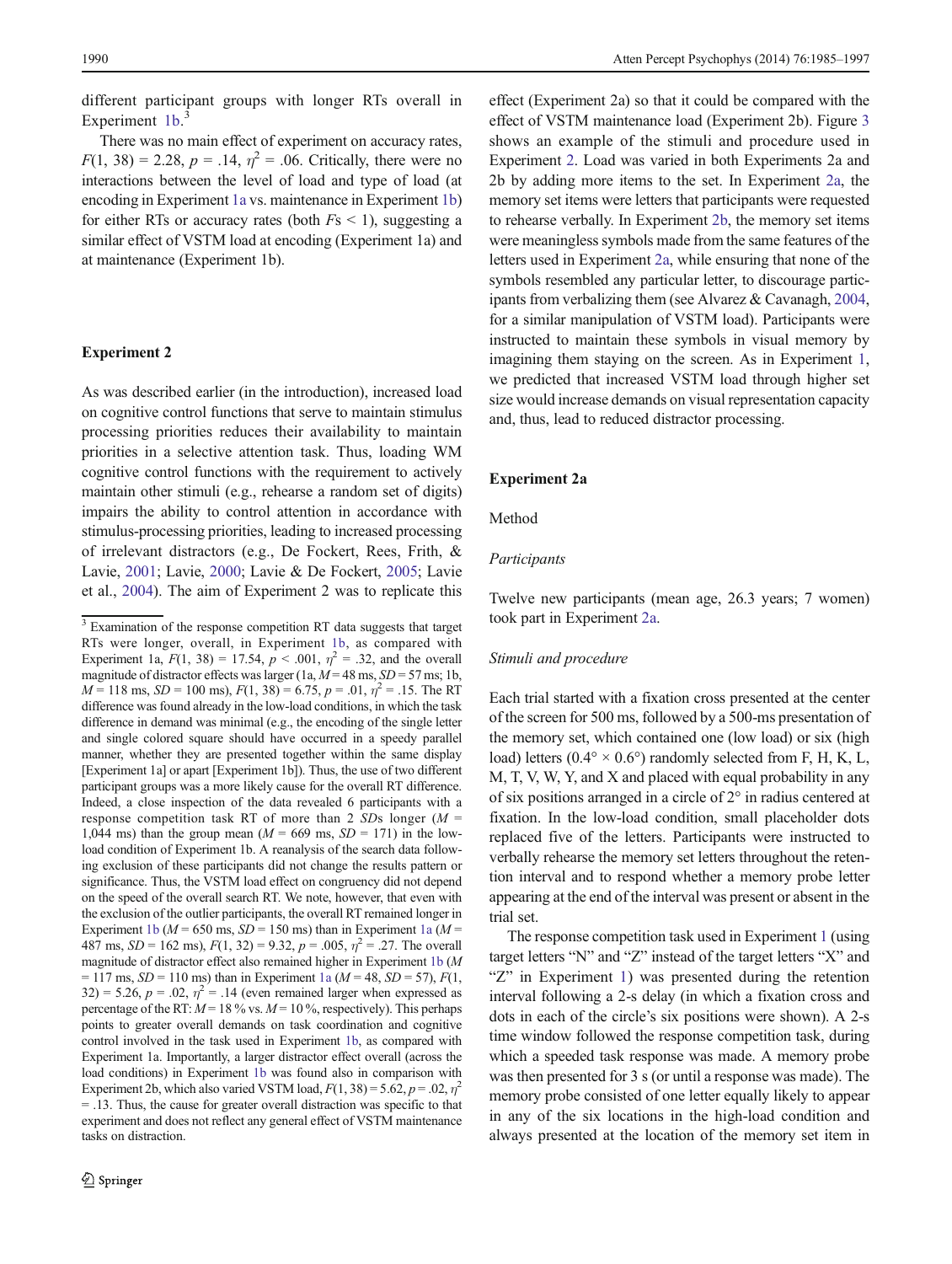<span id="page-5-0"></span>different participant groups with longer RTs overall in Experiment [1b.](#page-4-0)<sup>3</sup>

There was no main effect of experiment on accuracy rates,  $F(1, 38) = 2.28$ ,  $p = .14$ ,  $\eta^2 = .06$ . Critically, there were no interactions between the level of load and type of load (at encoding in Experiment [1a](#page-2-0) vs. maintenance in Experiment [1b\)](#page-4-0) for either RTs or accuracy rates (both  $Fs < 1$ ), suggesting a similar effect of VSTM load at encoding (Experiment 1a) and at maintenance (Experiment 1b).

#### Experiment 2

As was described earlier (in the introduction), increased load on cognitive control functions that serve to maintain stimulus processing priorities reduces their availability to maintain priorities in a selective attention task. Thus, loading WM cognitive control functions with the requirement to actively maintain other stimuli (e.g., rehearse a random set of digits) impairs the ability to control attention in accordance with stimulus-processing priorities, leading to increased processing of irrelevant distractors (e.g., De Fockert, Rees, Frith, & Lavie, [2001](#page-11-0); Lavie, [2000;](#page-11-0) Lavie & De Fockert, [2005](#page-11-0); Lavie et al., [2004\)](#page-11-0). The aim of Experiment 2 was to replicate this

effect (Experiment 2a) so that it could be compared with the effect of VSTM maintenance load (Experiment 2b). Figure [3](#page-6-0) shows an example of the stimuli and procedure used in Experiment 2. Load was varied in both Experiments 2a and 2b by adding more items to the set. In Experiment 2a, the memory set items were letters that participants were requested to rehearse verbally. In Experiment [2b](#page-6-0), the memory set items were meaningless symbols made from the same features of the letters used in Experiment 2a, while ensuring that none of the symbols resembled any particular letter, to discourage participants from verbalizing them (see Alvarez & Cavanagh, [2004,](#page-10-0) for a similar manipulation of VSTM load). Participants were instructed to maintain these symbols in visual memory by imagining them staying on the screen. As in Experiment [1,](#page-1-0) we predicted that increased VSTM load through higher set size would increase demands on visual representation capacity and, thus, lead to reduced distractor processing.

#### Experiment 2a

Method

#### Participants

Twelve new participants (mean age, 26.3 years; 7 women) took part in Experiment 2a.

#### Stimuli and procedure

Each trial started with a fixation cross presented at the center of the screen for 500 ms, followed by a 500-ms presentation of the memory set, which contained one (low load) or six (high load) letters ( $0.4^{\circ} \times 0.6^{\circ}$ ) randomly selected from F, H, K, L, M, T, V, W, Y, and X and placed with equal probability in any of six positions arranged in a circle of 2° in radius centered at fixation. In the low-load condition, small placeholder dots replaced five of the letters. Participants were instructed to verbally rehearse the memory set letters throughout the retention interval and to respond whether a memory probe letter appearing at the end of the interval was present or absent in the trial set.

The response competition task used in Experiment [1](#page-1-0) (using target letters "N" and "Z" instead of the target letters "X" and "Z" in Experiment [1\)](#page-1-0) was presented during the retention interval following a 2-s delay (in which a fixation cross and dots in each of the circle's six positions were shown). A 2-s time window followed the response competition task, during which a speeded task response was made. A memory probe was then presented for 3 s (or until a response was made). The memory probe consisted of one letter equally likely to appear in any of the six locations in the high-load condition and always presented at the location of the memory set item in

<sup>&</sup>lt;sup>3</sup> Examination of the response competition RT data suggests that target RTs were longer, overall, in Experiment [1b](#page-4-0), as compared with Experiment 1a,  $F(1, 38) = 17.54$ ,  $p < .001$ ,  $\eta^2 = .32$ , and the overall magnitude of distractor effects was larger (1a,  $M = 48$  ms,  $SD = 57$  ms; 1b,  $M = 118$  ms,  $SD = 100$  ms),  $F(1, 38) = 6.75$ ,  $p = .01$ ,  $\eta^2 = .15$ . The RT difference was found already in the low-load conditions, in which the task difference in demand was minimal (e.g., the encoding of the single letter and single colored square should have occurred in a speedy parallel manner, whether they are presented together within the same display [Experiment 1a] or apart [Experiment 1b]). Thus, the use of two different participant groups was a more likely cause for the overall RT difference. Indeed, a close inspection of the data revealed 6 participants with a response competition task RT of more than 2  $SDs$  longer ( $M =$ 1,044 ms) than the group mean  $(M = 669 \text{ ms}, SD = 171)$  in the lowload condition of Experiment 1b. A reanalysis of the search data following exclusion of these participants did not change the results pattern or significance. Thus, the VSTM load effect on congruency did not depend on the speed of the overall search RT. We note, however, that even with the exclusion of the outlier participants, the overall RT remained longer in Experiment [1b](#page-4-0) ( $M = 650$  ms,  $SD = 150$  ms) than in Experiment [1a](#page-2-0) ( $M =$ 487 ms,  $SD = 162$  ms),  $F(1, 32) = 9.32$ ,  $p = .005$ ,  $\eta^2 = .27$ . The overall magnitude of distractor effect also remained higher in Experiment [1b](#page-4-0) (M  $= 117$  ms,  $SD = 110$  ms) than in Experiment [1a](#page-2-0) ( $M = 48$ ,  $SD = 57$ ),  $F(1, 1)$  $32$ ) = 5.26,  $p = 0.02$ ,  $\eta^2 = 0.14$  (even remained larger when expressed as percentage of the RT:  $M = 18\%$  vs.  $M = 10\%$ , respectively). This perhaps points to greater overall demands on task coordination and cognitive control involved in the task used in Experiment [1b](#page-4-0), as compared with Experiment 1a. Importantly, a larger distractor effect overall (across the load conditions) in Experiment [1b](#page-4-0) was found also in comparison with Experiment 2b, which also varied VSTM load,  $F(1, 38) = 5.62$ ,  $p = .02$ ,  $\eta^2$ = .13. Thus, the cause for greater overall distraction was specific to that experiment and does not reflect any general effect of VSTM maintenance tasks on distraction.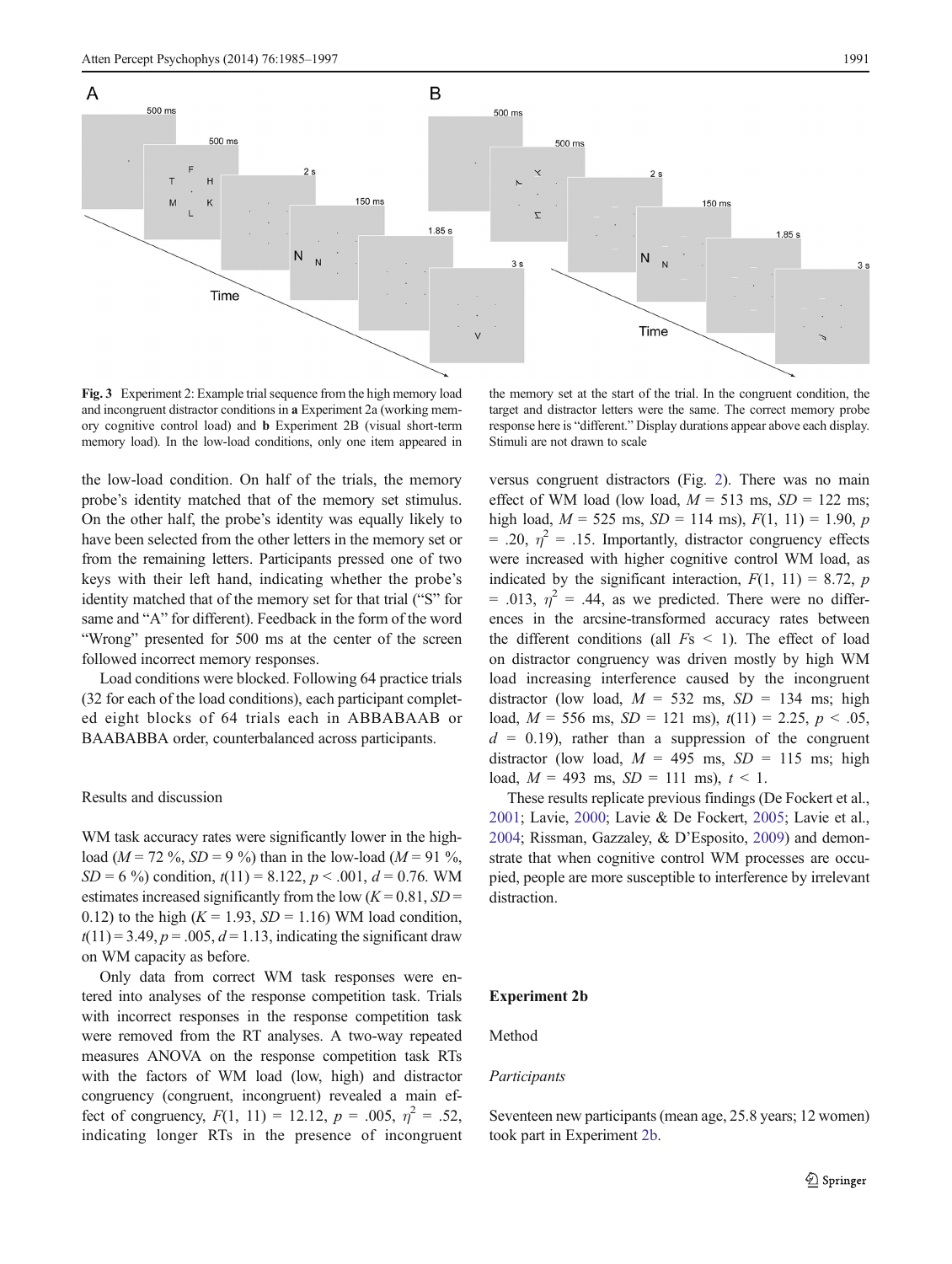<span id="page-6-0"></span>

Fig. 3 Experiment 2: Example trial sequence from the high memory load and incongruent distractor conditions in a Experiment 2a (working memory cognitive control load) and b Experiment 2B (visual short-term memory load). In the low-load conditions, only one item appeared in

the memory set at the start of the trial. In the congruent condition, the target and distractor letters were the same. The correct memory probe response here is "different." Display durations appear above each display. Stimuli are not drawn to scale

the low-load condition. On half of the trials, the memory probe's identity matched that of the memory set stimulus. On the other half, the probe's identity was equally likely to have been selected from the other letters in the memory set or from the remaining letters. Participants pressed one of two keys with their left hand, indicating whether the probe's identity matched that of the memory set for that trial ("S" for same and "A" for different). Feedback in the form of the word "Wrong" presented for 500 ms at the center of the screen followed incorrect memory responses.

Load conditions were blocked. Following 64 practice trials (32 for each of the load conditions), each participant completed eight blocks of 64 trials each in ABBABAAB or BAABABBA order, counterbalanced across participants.

# Results and discussion

WM task accuracy rates were significantly lower in the highload ( $M = 72 \%$ ,  $SD = 9 \%$ ) than in the low-load ( $M = 91 \%$ ,  $SD = 6\%$ ) condition,  $t(11) = 8.122$ ,  $p < .001$ ,  $d = 0.76$ . WM estimates increased significantly from the low  $(K = 0.81, SD =$ 0.12) to the high  $(K = 1.93, SD = 1.16)$  WM load condition,  $t(11) = 3.49, p = .005, d = 1.13$ , indicating the significant draw on WM capacity as before.

Only data from correct WM task responses were entered into analyses of the response competition task. Trials with incorrect responses in the response competition task were removed from the RT analyses. A two-way repeated measures ANOVA on the response competition task RTs with the factors of WM load (low, high) and distractor congruency (congruent, incongruent) revealed a main effect of congruency,  $F(1, 11) = 12.12$ ,  $p = .005$ ,  $\eta^2 = .52$ , indicating longer RTs in the presence of incongruent versus congruent distractors (Fig. [2](#page-3-0)). There was no main effect of WM load (low load,  $M = 513$  ms,  $SD = 122$  ms; high load,  $M = 525$  ms,  $SD = 114$  ms),  $F(1, 11) = 1.90$ , p = .20,  $\eta^2$  = .15. Importantly, distractor congruency effects were increased with higher cognitive control WM load, as indicated by the significant interaction,  $F(1, 11) = 8.72$ , p = .013,  $\eta^2$  = .44, as we predicted. There were no differences in the arcsine-transformed accuracy rates between the different conditions (all  $Fs < 1$ ). The effect of load on distractor congruency was driven mostly by high WM load increasing interference caused by the incongruent distractor (low load,  $M = 532$  ms,  $SD = 134$  ms; high load,  $M = 556$  ms,  $SD = 121$  ms),  $t(11) = 2.25$ ,  $p < .05$ ,  $d = 0.19$ , rather than a suppression of the congruent distractor (low load,  $M = 495$  ms,  $SD = 115$  ms; high load,  $M = 493$  ms,  $SD = 111$  ms),  $t < 1$ .

These results replicate previous findings (De Fockert et al., [2001;](#page-11-0) Lavie, [2000;](#page-11-0) Lavie & De Fockert, [2005;](#page-11-0) Lavie et al., [2004;](#page-11-0) Rissman, Gazzaley, & D'Esposito, [2009\)](#page-11-0) and demonstrate that when cognitive control WM processes are occupied, people are more susceptible to interference by irrelevant distraction.

#### Experiment 2b

Method

#### Participants

Seventeen new participants (mean age, 25.8 years; 12 women) took part in Experiment 2b.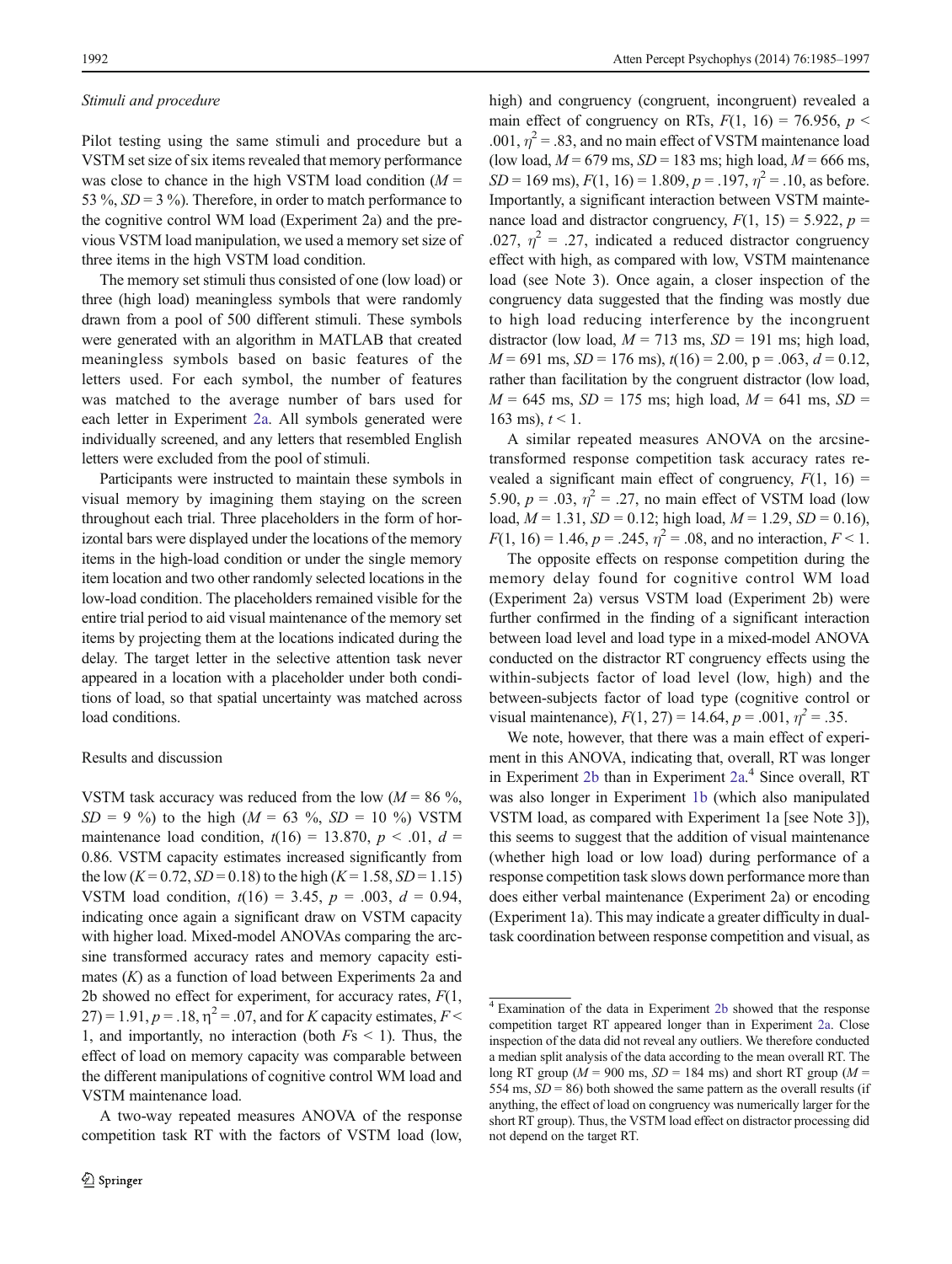#### Stimuli and procedure

Pilot testing using the same stimuli and procedure but a VSTM set size of six items revealed that memory performance was close to chance in the high VSTM load condition  $(M =$ 53 %,  $SD = 3$  %). Therefore, in order to match performance to the cognitive control WM load (Experiment 2a) and the previous VSTM load manipulation, we used a memory set size of three items in the high VSTM load condition.

The memory set stimuli thus consisted of one (low load) or three (high load) meaningless symbols that were randomly drawn from a pool of 500 different stimuli. These symbols were generated with an algorithm in MATLAB that created meaningless symbols based on basic features of the letters used. For each symbol, the number of features was matched to the average number of bars used for each letter in Experiment [2a.](#page-5-0) All symbols generated were individually screened, and any letters that resembled English letters were excluded from the pool of stimuli.

Participants were instructed to maintain these symbols in visual memory by imagining them staying on the screen throughout each trial. Three placeholders in the form of horizontal bars were displayed under the locations of the memory items in the high-load condition or under the single memory item location and two other randomly selected locations in the low-load condition. The placeholders remained visible for the entire trial period to aid visual maintenance of the memory set items by projecting them at the locations indicated during the delay. The target letter in the selective attention task never appeared in a location with a placeholder under both conditions of load, so that spatial uncertainty was matched across load conditions.

### Results and discussion

VSTM task accuracy was reduced from the low  $(M = 86\%$ ,  $SD = 9$  %) to the high ( $M = 63$  %,  $SD = 10$  %) VSTM maintenance load condition,  $t(16) = 13.870$ ,  $p < .01$ ,  $d =$ 0.86. VSTM capacity estimates increased significantly from the low ( $K = 0.72$ ,  $SD = 0.18$ ) to the high ( $K = 1.58$ ,  $SD = 1.15$ ) VSTM load condition,  $t(16) = 3.45$ ,  $p = .003$ ,  $d = 0.94$ , indicating once again a significant draw on VSTM capacity with higher load. Mixed-model ANOVAs comparing the arcsine transformed accuracy rates and memory capacity estimates  $(K)$  as a function of load between Experiments 2a and 2b showed no effect for experiment, for accuracy rates,  $F(1, 1)$  $27$ ) = 1.91,  $p = 0.18$ ,  $\eta^2 = 0.07$ , and for K capacity estimates,  $F <$ 1, and importantly, no interaction (both  $Fs < 1$ ). Thus, the effect of load on memory capacity was comparable between the different manipulations of cognitive control WM load and VSTM maintenance load.

A two-way repeated measures ANOVA of the response competition task RT with the factors of VSTM load (low,

high) and congruency (congruent, incongruent) revealed a main effect of congruency on RTs,  $F(1, 16) = 76.956$ ,  $p <$ .001,  $\eta^2$  = .83, and no main effect of VSTM maintenance load (low load,  $M = 679$  ms,  $SD = 183$  ms; high load,  $M = 666$  ms,  $SD = 169$  ms),  $F(1, 16) = 1.809$ ,  $p = .197$ ,  $\eta^2 = .10$ , as before. Importantly, a significant interaction between VSTM maintenance load and distractor congruency,  $F(1, 15) = 5.922$ ,  $p =$ .027,  $\eta^2$  = .27, indicated a reduced distractor congruency effect with high, as compared with low, VSTM maintenance load (see Note 3). Once again, a closer inspection of the congruency data suggested that the finding was mostly due to high load reducing interference by the incongruent distractor (low load,  $M = 713$  ms,  $SD = 191$  ms; high load,  $M = 691$  ms,  $SD = 176$  ms),  $t(16) = 2.00$ ,  $p = .063$ ,  $d = 0.12$ , rather than facilitation by the congruent distractor (low load,  $M = 645$  ms,  $SD = 175$  ms; high load,  $M = 641$  ms,  $SD =$ 163 ms),  $t < 1$ .

A similar repeated measures ANOVA on the arcsinetransformed response competition task accuracy rates revealed a significant main effect of congruency,  $F(1, 16)$  = 5.90,  $p = .03$ ,  $\eta^2 = .27$ , no main effect of VSTM load (low load,  $M = 1.31$ ,  $SD = 0.12$ ; high load,  $M = 1.29$ ,  $SD = 0.16$ ),  $F(1, 16) = 1.46$ ,  $p = .245$ ,  $\eta^2 = .08$ , and no interaction,  $F < 1$ .

The opposite effects on response competition during the memory delay found for cognitive control WM load (Experiment 2a) versus VSTM load (Experiment 2b) were further confirmed in the finding of a significant interaction between load level and load type in a mixed-model ANOVA conducted on the distractor RT congruency effects using the within-subjects factor of load level (low, high) and the between-subjects factor of load type (cognitive control or visual maintenance),  $F(1, 27) = 14.64$ ,  $p = .001$ ,  $\eta^2 = .35$ .

We note, however, that there was a main effect of experiment in this ANOVA, indicating that, overall, RT was longer in Experiment [2b](#page-6-0) than in Experiment [2a](#page-5-0). <sup>4</sup> Since overall, RT was also longer in Experiment [1b](#page-4-0) (which also manipulated VSTM load, as compared with Experiment 1a [see Note 3]), this seems to suggest that the addition of visual maintenance (whether high load or low load) during performance of a response competition task slows down performance more than does either verbal maintenance (Experiment 2a) or encoding (Experiment 1a). This may indicate a greater difficulty in dualtask coordination between response competition and visual, as

<sup>4</sup> Examination of the data in Experiment [2b](#page-6-0) showed that the response competition target RT appeared longer than in Experiment [2a.](#page-5-0) Close inspection of the data did not reveal any outliers. We therefore conducted a median split analysis of the data according to the mean overall RT. The long RT group ( $M = 900$  ms,  $SD = 184$  ms) and short RT group ( $M =$ 554 ms,  $SD = 86$ ) both showed the same pattern as the overall results (if anything, the effect of load on congruency was numerically larger for the short RT group). Thus, the VSTM load effect on distractor processing did not depend on the target RT.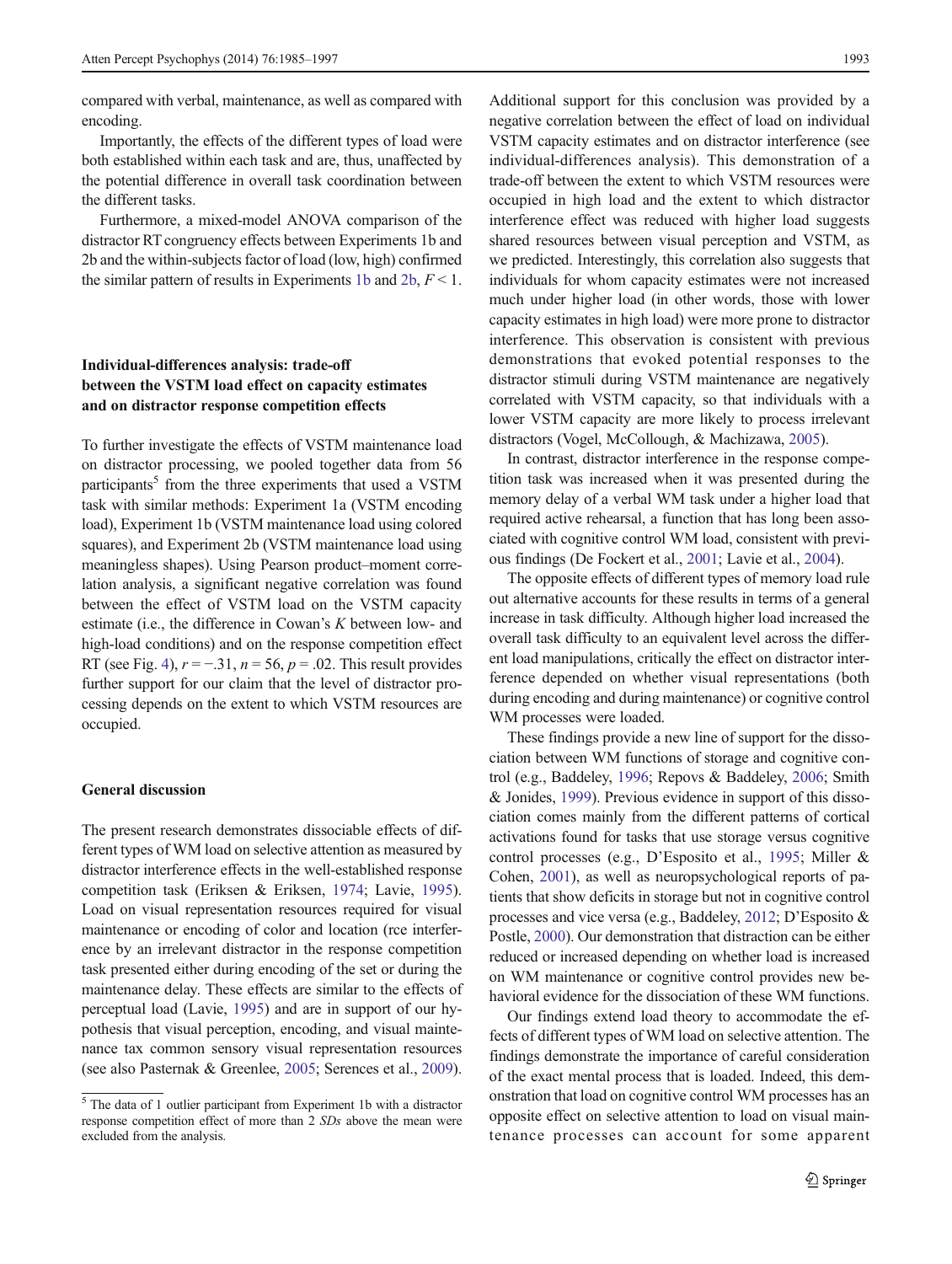compared with verbal, maintenance, as well as compared with encoding.

Importantly, the effects of the different types of load were both established within each task and are, thus, unaffected by the potential difference in overall task coordination between the different tasks.

Furthermore, a mixed-model ANOVA comparison of the distractor RT congruency effects between Experiments 1b and 2b and the within-subjects factor of load (low, high) confirmed the similar pattern of results in Experiments [1b](#page-4-0) and [2b,](#page-6-0)  $F < 1$ .

# Individual-differences analysis: trade-off between the VSTM load effect on capacity estimates and on distractor response competition effects

To further investigate the effects of VSTM maintenance load on distractor processing, we pooled together data from 56 participants<sup>5</sup> from the three experiments that used a VSTM task with similar methods: Experiment 1a (VSTM encoding load), Experiment 1b (VSTM maintenance load using colored squares), and Experiment 2b (VSTM maintenance load using meaningless shapes). Using Pearson product–moment correlation analysis, a significant negative correlation was found between the effect of VSTM load on the VSTM capacity estimate (i.e., the difference in Cowan's K between low- and high-load conditions) and on the response competition effect RT (see Fig. [4\)](#page-9-0),  $r = -0.31$ ,  $n = 56$ ,  $p = 0.02$ . This result provides further support for our claim that the level of distractor processing depends on the extent to which VSTM resources are occupied.

# General discussion

The present research demonstrates dissociable effects of different types of WM load on selective attention as measured by distractor interference effects in the well-established response competition task (Eriksen & Eriksen, [1974;](#page-11-0) Lavie, [1995](#page-11-0)). Load on visual representation resources required for visual maintenance or encoding of color and location (rce interference by an irrelevant distractor in the response competition task presented either during encoding of the set or during the maintenance delay. These effects are similar to the effects of perceptual load (Lavie, [1995](#page-11-0)) and are in support of our hypothesis that visual perception, encoding, and visual maintenance tax common sensory visual representation resources (see also Pasternak & Greenlee, [2005;](#page-11-0) Serences et al., [2009\)](#page-12-0).

Additional support for this conclusion was provided by a negative correlation between the effect of load on individual VSTM capacity estimates and on distractor interference (see individual-differences analysis). This demonstration of a trade-off between the extent to which VSTM resources were occupied in high load and the extent to which distractor interference effect was reduced with higher load suggests shared resources between visual perception and VSTM, as we predicted. Interestingly, this correlation also suggests that individuals for whom capacity estimates were not increased much under higher load (in other words, those with lower capacity estimates in high load) were more prone to distractor interference. This observation is consistent with previous demonstrations that evoked potential responses to the distractor stimuli during VSTM maintenance are negatively correlated with VSTM capacity, so that individuals with a lower VSTM capacity are more likely to process irrelevant distractors (Vogel, McCollough, & Machizawa, [2005](#page-12-0)).

In contrast, distractor interference in the response competition task was increased when it was presented during the memory delay of a verbal WM task under a higher load that required active rehearsal, a function that has long been associated with cognitive control WM load, consistent with previous findings (De Fockert et al., [2001](#page-11-0); Lavie et al., [2004\)](#page-11-0).

The opposite effects of different types of memory load rule out alternative accounts for these results in terms of a general increase in task difficulty. Although higher load increased the overall task difficulty to an equivalent level across the different load manipulations, critically the effect on distractor interference depended on whether visual representations (both during encoding and during maintenance) or cognitive control WM processes were loaded.

These findings provide a new line of support for the dissociation between WM functions of storage and cognitive control (e.g., Baddeley, [1996;](#page-10-0) Repovs & Baddeley, [2006](#page-11-0); Smith & Jonides, [1999](#page-12-0)). Previous evidence in support of this dissociation comes mainly from the different patterns of cortical activations found for tasks that use storage versus cognitive control processes (e.g., D'Esposito et al., [1995;](#page-11-0) Miller & Cohen, [2001](#page-11-0)), as well as neuropsychological reports of patients that show deficits in storage but not in cognitive control processes and vice versa (e.g., Baddeley, [2012;](#page-11-0) D'Esposito & Postle, [2000\)](#page-11-0). Our demonstration that distraction can be either reduced or increased depending on whether load is increased on WM maintenance or cognitive control provides new behavioral evidence for the dissociation of these WM functions.

Our findings extend load theory to accommodate the effects of different types of WM load on selective attention. The findings demonstrate the importance of careful consideration of the exact mental process that is loaded. Indeed, this demonstration that load on cognitive control WM processes has an opposite effect on selective attention to load on visual maintenance processes can account for some apparent

<sup>5</sup> The data of 1 outlier participant from Experiment 1b with a distractor response competition effect of more than 2 SDs above the mean were excluded from the analysis.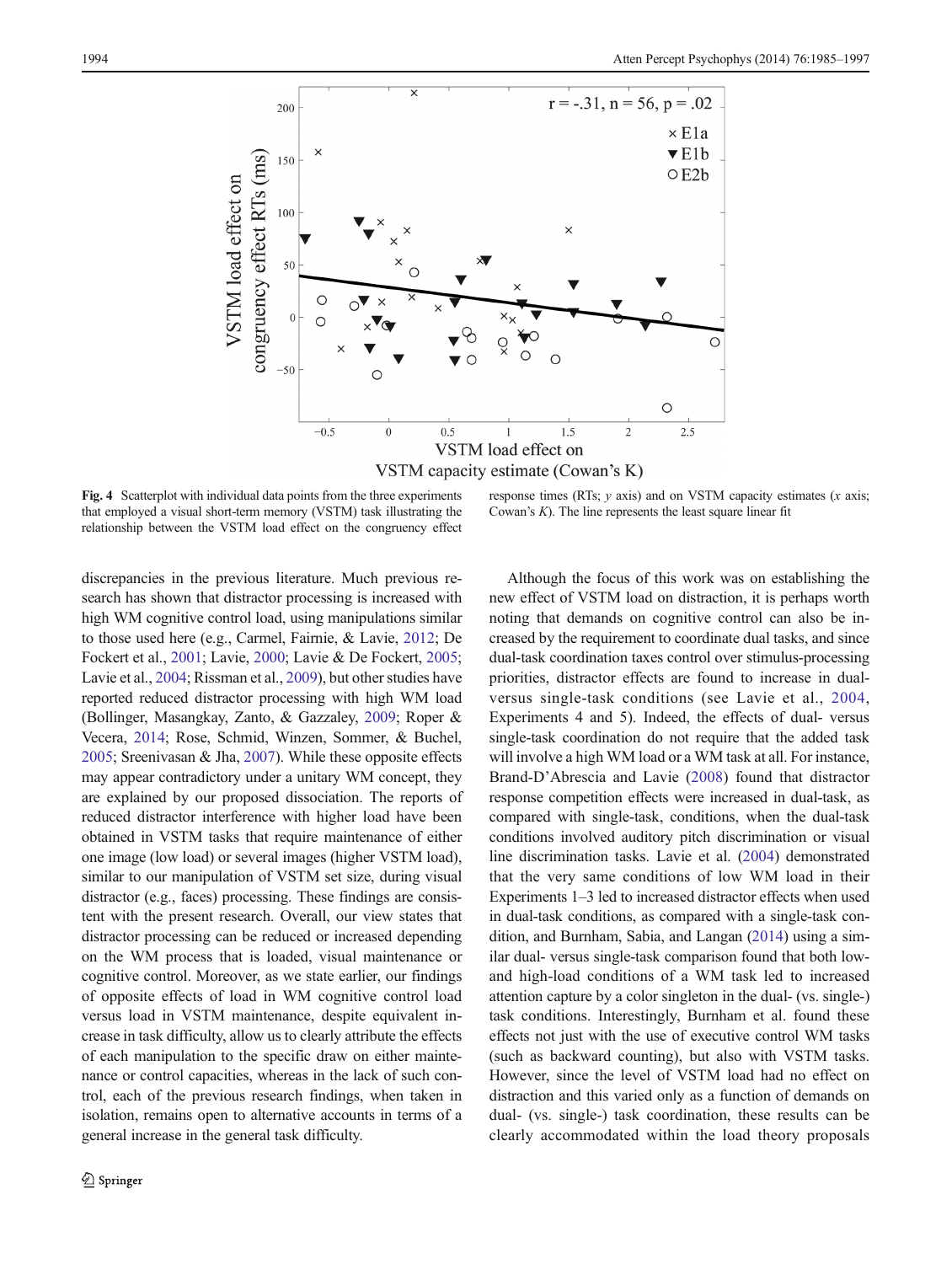<span id="page-9-0"></span>

Fig. 4 Scatterplot with individual data points from the three experiments that employed a visual short-term memory (VSTM) task illustrating the relationship between the VSTM load effect on the congruency effect

response times (RTs;  $y$  axis) and on VSTM capacity estimates ( $x$  axis; Cowan's  $K$ ). The line represents the least square linear fit

discrepancies in the previous literature. Much previous research has shown that distractor processing is increased with high WM cognitive control load, using manipulations similar to those used here (e.g., Carmel, Fairnie, & Lavie, [2012](#page-11-0); De Fockert et al., [2001](#page-11-0); Lavie, [2000](#page-11-0); Lavie & De Fockert, [2005](#page-11-0); Lavie et al., [2004;](#page-11-0) Rissman et al., [2009\)](#page-11-0), but other studies have reported reduced distractor processing with high WM load (Bollinger, Masangkay, Zanto, & Gazzaley, [2009;](#page-11-0) Roper & Vecera, [2014](#page-11-0); Rose, Schmid, Winzen, Sommer, & Buchel, [2005;](#page-11-0) Sreenivasan & Jha, [2007](#page-12-0)). While these opposite effects may appear contradictory under a unitary WM concept, they are explained by our proposed dissociation. The reports of reduced distractor interference with higher load have been obtained in VSTM tasks that require maintenance of either one image (low load) or several images (higher VSTM load), similar to our manipulation of VSTM set size, during visual distractor (e.g., faces) processing. These findings are consistent with the present research. Overall, our view states that distractor processing can be reduced or increased depending on the WM process that is loaded, visual maintenance or cognitive control. Moreover, as we state earlier, our findings of opposite effects of load in WM cognitive control load versus load in VSTM maintenance, despite equivalent increase in task difficulty, allow us to clearly attribute the effects of each manipulation to the specific draw on either maintenance or control capacities, whereas in the lack of such control, each of the previous research findings, when taken in isolation, remains open to alternative accounts in terms of a general increase in the general task difficulty.

Although the focus of this work was on establishing the new effect of VSTM load on distraction, it is perhaps worth noting that demands on cognitive control can also be increased by the requirement to coordinate dual tasks, and since dual-task coordination taxes control over stimulus-processing priorities, distractor effects are found to increase in dualversus single-task conditions (see Lavie et al., [2004,](#page-11-0) Experiments 4 and 5). Indeed, the effects of dual- versus single-task coordination do not require that the added task will involve a high WM load or a WM task at all. For instance, Brand-D'Abrescia and Lavie ([2008\)](#page-11-0) found that distractor response competition effects were increased in dual-task, as compared with single-task, conditions, when the dual-task conditions involved auditory pitch discrimination or visual line discrimination tasks. Lavie et al. ([2004\)](#page-11-0) demonstrated that the very same conditions of low WM load in their Experiments 1–3 led to increased distractor effects when used in dual-task conditions, as compared with a single-task condition, and Burnham, Sabia, and Langan ([2014](#page-11-0)) using a similar dual- versus single-task comparison found that both lowand high-load conditions of a WM task led to increased attention capture by a color singleton in the dual- (vs. single-) task conditions. Interestingly, Burnham et al. found these effects not just with the use of executive control WM tasks (such as backward counting), but also with VSTM tasks. However, since the level of VSTM load had no effect on distraction and this varied only as a function of demands on dual- (vs. single-) task coordination, these results can be clearly accommodated within the load theory proposals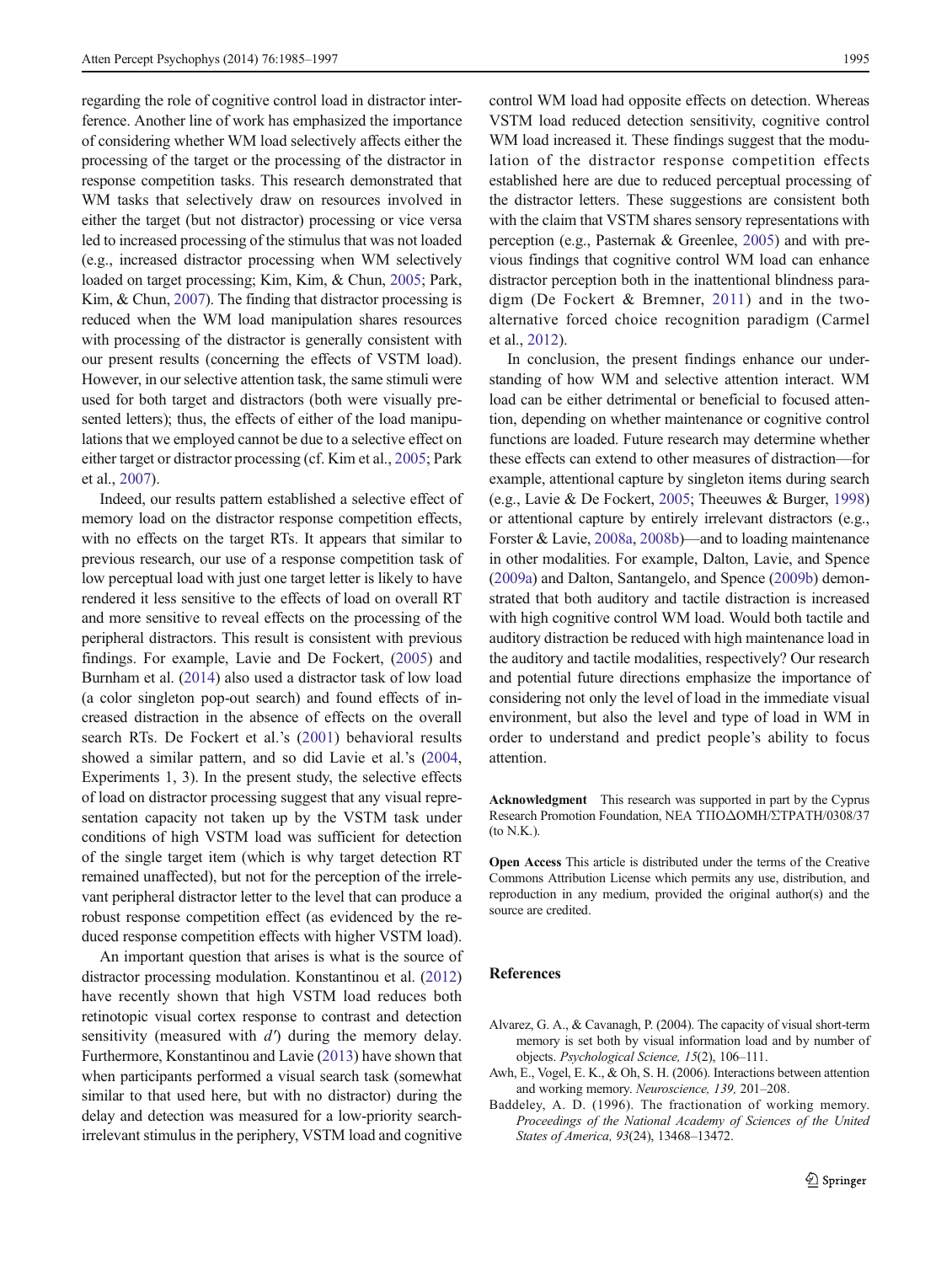<span id="page-10-0"></span>regarding the role of cognitive control load in distractor interference. Another line of work has emphasized the importance of considering whether WM load selectively affects either the processing of the target or the processing of the distractor in response competition tasks. This research demonstrated that WM tasks that selectively draw on resources involved in either the target (but not distractor) processing or vice versa led to increased processing of the stimulus that was not loaded (e.g., increased distractor processing when WM selectively loaded on target processing; Kim, Kim, & Chun, [2005;](#page-11-0) Park, Kim, & Chun, [2007](#page-11-0)). The finding that distractor processing is reduced when the WM load manipulation shares resources with processing of the distractor is generally consistent with our present results (concerning the effects of VSTM load). However, in our selective attention task, the same stimuli were used for both target and distractors (both were visually presented letters); thus, the effects of either of the load manipulations that we employed cannot be due to a selective effect on either target or distractor processing (cf. Kim et al., [2005;](#page-11-0) Park et al., [2007\)](#page-11-0).

Indeed, our results pattern established a selective effect of memory load on the distractor response competition effects, with no effects on the target RTs. It appears that similar to previous research, our use of a response competition task of low perceptual load with just one target letter is likely to have rendered it less sensitive to the effects of load on overall RT and more sensitive to reveal effects on the processing of the peripheral distractors. This result is consistent with previous findings. For example, Lavie and De Fockert, ([2005](#page-11-0)) and Burnham et al. [\(2014\)](#page-11-0) also used a distractor task of low load (a color singleton pop-out search) and found effects of increased distraction in the absence of effects on the overall search RTs. De Fockert et al.'s [\(2001](#page-11-0)) behavioral results showed a similar pattern, and so did Lavie et al.'s ([2004,](#page-11-0) Experiments 1, 3). In the present study, the selective effects of load on distractor processing suggest that any visual representation capacity not taken up by the VSTM task under conditions of high VSTM load was sufficient for detection of the single target item (which is why target detection RT remained unaffected), but not for the perception of the irrelevant peripheral distractor letter to the level that can produce a robust response competition effect (as evidenced by the reduced response competition effects with higher VSTM load).

An important question that arises is what is the source of distractor processing modulation. Konstantinou et al. [\(2012\)](#page-11-0) have recently shown that high VSTM load reduces both retinotopic visual cortex response to contrast and detection sensitivity (measured with  $d'$ ) during the memory delay. Furthermore, Konstantinou and Lavie ([2013](#page-11-0)) have shown that when participants performed a visual search task (somewhat similar to that used here, but with no distractor) during the delay and detection was measured for a low-priority searchirrelevant stimulus in the periphery, VSTM load and cognitive

control WM load had opposite effects on detection. Whereas VSTM load reduced detection sensitivity, cognitive control WM load increased it. These findings suggest that the modulation of the distractor response competition effects established here are due to reduced perceptual processing of the distractor letters. These suggestions are consistent both with the claim that VSTM shares sensory representations with perception (e.g., Pasternak & Greenlee, [2005\)](#page-11-0) and with previous findings that cognitive control WM load can enhance distractor perception both in the inattentional blindness paradigm (De Fockert & Bremner, [2011\)](#page-11-0) and in the twoalternative forced choice recognition paradigm (Carmel et al., [2012\)](#page-11-0).

In conclusion, the present findings enhance our understanding of how WM and selective attention interact. WM load can be either detrimental or beneficial to focused attention, depending on whether maintenance or cognitive control functions are loaded. Future research may determine whether these effects can extend to other measures of distraction—for example, attentional capture by singleton items during search (e.g., Lavie & De Fockert, [2005;](#page-11-0) Theeuwes & Burger, [1998](#page-12-0)) or attentional capture by entirely irrelevant distractors (e.g., Forster & Lavie, [2008a,](#page-11-0) [2008b\)](#page-11-0)—and to loading maintenance in other modalities. For example, Dalton, Lavie, and Spence [\(2009a](#page-11-0)) and Dalton, Santangelo, and Spence [\(2009b\)](#page-11-0) demonstrated that both auditory and tactile distraction is increased with high cognitive control WM load. Would both tactile and auditory distraction be reduced with high maintenance load in the auditory and tactile modalities, respectively? Our research and potential future directions emphasize the importance of considering not only the level of load in the immediate visual environment, but also the level and type of load in WM in order to understand and predict people's ability to focus attention.

Acknowledgment This research was supported in part by the Cyprus Research Promotion Foundation, ΝΕΑ ΥΠΟΔΟΜΗ/ΣΤΡΑΤΗ/0308/37 (to N.K.).

Open Access This article is distributed under the terms of the Creative Commons Attribution License which permits any use, distribution, and reproduction in any medium, provided the original author(s) and the source are credited.

# References

- Alvarez, G. A., & Cavanagh, P. (2004). The capacity of visual short-term memory is set both by visual information load and by number of objects. Psychological Science, 15(2), 106–111.
- Awh, E., Vogel, E. K., & Oh, S. H. (2006). Interactions between attention and working memory. Neuroscience, 139, 201–208.
- Baddeley, A. D. (1996). The fractionation of working memory. Proceedings of the National Academy of Sciences of the United States of America, 93(24), 13468–13472.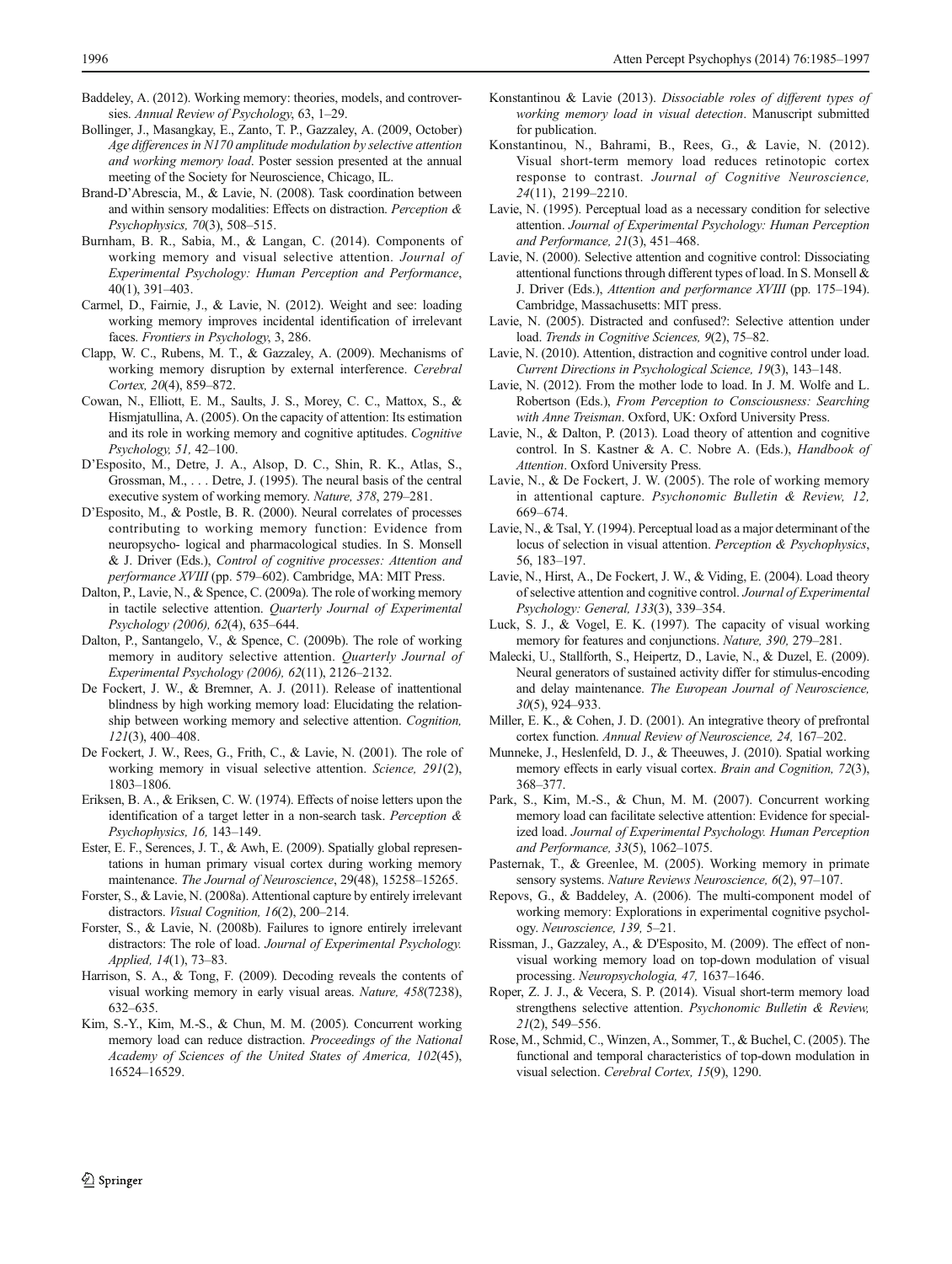- <span id="page-11-0"></span>Baddeley, A. (2012). Working memory: theories, models, and controversies. Annual Review of Psychology, 63, 1–29.
- Bollinger, J., Masangkay, E., Zanto, T. P., Gazzaley, A. (2009, October) Age differences in N170 amplitude modulation by selective attention and working memory load. Poster session presented at the annual meeting of the Society for Neuroscience, Chicago, IL.
- Brand-D'Abrescia, M., & Lavie, N. (2008). Task coordination between and within sensory modalities: Effects on distraction. Perception & Psychophysics, 70(3), 508–515.
- Burnham, B. R., Sabia, M., & Langan, C. (2014). Components of working memory and visual selective attention. Journal of Experimental Psychology: Human Perception and Performance, 40(1), 391–403.
- Carmel, D., Fairnie, J., & Lavie, N. (2012). Weight and see: loading working memory improves incidental identification of irrelevant faces. Frontiers in Psychology, 3, 286.
- Clapp, W. C., Rubens, M. T., & Gazzaley, A. (2009). Mechanisms of working memory disruption by external interference. Cerebral Cortex, 20(4), 859–872.
- Cowan, N., Elliott, E. M., Saults, J. S., Morey, C. C., Mattox, S., & Hismjatullina, A. (2005). On the capacity of attention: Its estimation and its role in working memory and cognitive aptitudes. Cognitive Psychology, 51, 42–100.
- D'Esposito, M., Detre, J. A., Alsop, D. C., Shin, R. K., Atlas, S., Grossman, M., . . . Detre, J. (1995). The neural basis of the central executive system of working memory. Nature, 378, 279–281.
- D'Esposito, M., & Postle, B. R. (2000). Neural correlates of processes contributing to working memory function: Evidence from neuropsycho- logical and pharmacological studies. In S. Monsell & J. Driver (Eds.), Control of cognitive processes: Attention and performance XVIII (pp. 579–602). Cambridge, MA: MIT Press.
- Dalton, P., Lavie, N., & Spence, C. (2009a). The role of working memory in tactile selective attention. Quarterly Journal of Experimental Psychology (2006), 62(4), 635–644.
- Dalton, P., Santangelo, V., & Spence, C. (2009b). The role of working memory in auditory selective attention. Quarterly Journal of Experimental Psychology (2006), 62(11), 2126–2132.
- De Fockert, J. W., & Bremner, A. J. (2011). Release of inattentional blindness by high working memory load: Elucidating the relationship between working memory and selective attention. Cognition, 121(3), 400–408.
- De Fockert, J. W., Rees, G., Frith, C., & Lavie, N. (2001). The role of working memory in visual selective attention. Science, 291(2), 1803–1806.
- Eriksen, B. A., & Eriksen, C. W. (1974). Effects of noise letters upon the identification of a target letter in a non-search task. Perception & Psychophysics, 16, 143–149.
- Ester, E. F., Serences, J. T., & Awh, E. (2009). Spatially global representations in human primary visual cortex during working memory maintenance. The Journal of Neuroscience, 29(48), 15258–15265.
- Forster, S., & Lavie, N. (2008a). Attentional capture by entirely irrelevant distractors. Visual Cognition, 16(2), 200-214.
- Forster, S., & Lavie, N. (2008b). Failures to ignore entirely irrelevant distractors: The role of load. Journal of Experimental Psychology. Applied, 14(1), 73–83.
- Harrison, S. A., & Tong, F. (2009). Decoding reveals the contents of visual working memory in early visual areas. Nature, 458(7238), 632–635.
- Kim, S.-Y., Kim, M.-S., & Chun, M. M. (2005). Concurrent working memory load can reduce distraction. Proceedings of the National Academy of Sciences of the United States of America, 102(45), 16524–16529.
- Konstantinou & Lavie (2013). Dissociable roles of different types of working memory load in visual detection. Manuscript submitted for publication.
- Konstantinou, N., Bahrami, B., Rees, G., & Lavie, N. (2012). Visual short-term memory load reduces retinotopic cortex response to contrast. Journal of Cognitive Neuroscience, 24(11), 2199–2210.
- Lavie, N. (1995). Perceptual load as a necessary condition for selective attention. Journal of Experimental Psychology: Human Perception and Performance, 21(3), 451–468.
- Lavie, N. (2000). Selective attention and cognitive control: Dissociating attentional functions through different types of load. In S. Monsell & J. Driver (Eds.), Attention and performance XVIII (pp. 175–194). Cambridge, Massachusetts: MIT press.
- Lavie, N. (2005). Distracted and confused?: Selective attention under load. Trends in Cognitive Sciences, 9(2), 75–82.
- Lavie, N. (2010). Attention, distraction and cognitive control under load. Current Directions in Psychological Science, 19(3), 143–148.
- Lavie, N. (2012). From the mother lode to load. In J. M. Wolfe and L. Robertson (Eds.), From Perception to Consciousness: Searching with Anne Treisman. Oxford, UK: Oxford University Press.
- Lavie, N., & Dalton, P. (2013). Load theory of attention and cognitive control. In S. Kastner & A. C. Nobre A. (Eds.), Handbook of Attention. Oxford University Press.
- Lavie, N., & De Fockert, J. W. (2005). The role of working memory in attentional capture. Psychonomic Bulletin & Review, 12, 669–674.
- Lavie, N., & Tsal, Y. (1994). Perceptual load as a major determinant of the locus of selection in visual attention. Perception & Psychophysics, 56, 183–197.
- Lavie, N., Hirst, A., De Fockert, J. W., & Viding, E. (2004). Load theory of selective attention and cognitive control. Journal of Experimental Psychology: General, 133(3), 339–354.
- Luck, S. J., & Vogel, E. K. (1997). The capacity of visual working memory for features and conjunctions. Nature, 390, 279–281.
- Malecki, U., Stallforth, S., Heipertz, D., Lavie, N., & Duzel, E. (2009). Neural generators of sustained activity differ for stimulus-encoding and delay maintenance. The European Journal of Neuroscience, 30(5), 924–933.
- Miller, E. K., & Cohen, J. D. (2001). An integrative theory of prefrontal cortex function. Annual Review of Neuroscience, 24, 167–202.
- Munneke, J., Heslenfeld, D. J., & Theeuwes, J. (2010). Spatial working memory effects in early visual cortex. Brain and Cognition, 72(3), 368–377.
- Park, S., Kim, M.-S., & Chun, M. M. (2007). Concurrent working memory load can facilitate selective attention: Evidence for specialized load. Journal of Experimental Psychology. Human Perception and Performance, 33(5), 1062–1075.
- Pasternak, T., & Greenlee, M. (2005). Working memory in primate sensory systems. Nature Reviews Neuroscience, 6(2), 97-107.
- Repovs, G., & Baddeley, A. (2006). The multi-component model of working memory: Explorations in experimental cognitive psychology. Neuroscience, 139, 5–21.
- Rissman, J., Gazzaley, A., & D'Esposito, M. (2009). The effect of nonvisual working memory load on top-down modulation of visual processing. Neuropsychologia, 47, 1637–1646.
- Roper, Z. J. J., & Vecera, S. P. (2014). Visual short-term memory load strengthens selective attention. Psychonomic Bulletin & Review, 21(2), 549–556.
- Rose, M., Schmid, C., Winzen, A., Sommer, T., & Buchel, C. (2005). The functional and temporal characteristics of top-down modulation in visual selection. Cerebral Cortex, 15(9), 1290.